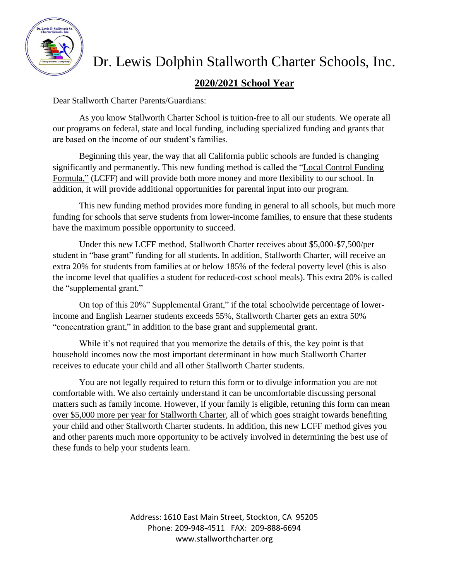

# Dr. Lewis Dolphin Stallworth Charter Schools, Inc.

### **2020/2021 School Year**

Dear Stallworth Charter Parents/Guardians:

As you know Stallworth Charter School is tuition-free to all our students. We operate all our programs on federal, state and local funding, including specialized funding and grants that are based on the income of our student's families.

Beginning this year, the way that all California public schools are funded is changing significantly and permanently. This new funding method is called the "Local Control Funding Formula," (LCFF) and will provide both more money and more flexibility to our school. In addition, it will provide additional opportunities for parental input into our program.

This new funding method provides more funding in general to all schools, but much more funding for schools that serve students from lower-income families, to ensure that these students have the maximum possible opportunity to succeed.

Under this new LCFF method, Stallworth Charter receives about \$5,000-\$7,500/per student in "base grant" funding for all students. In addition, Stallworth Charter, will receive an extra 20% for students from families at or below 185% of the federal poverty level (this is also the income level that qualifies a student for reduced-cost school meals). This extra 20% is called the "supplemental grant."

On top of this 20%" Supplemental Grant," if the total schoolwide percentage of lowerincome and English Learner students exceeds 55%, Stallworth Charter gets an extra 50% "concentration grant," in addition to the base grant and supplemental grant.

While it's not required that you memorize the details of this, the key point is that household incomes now the most important determinant in how much Stallworth Charter receives to educate your child and all other Stallworth Charter students.

You are not legally required to return this form or to divulge information you are not comfortable with. We also certainly understand it can be uncomfortable discussing personal matters such as family income. However, if your family is eligible, retuning this form can mean over \$5,000 more per year for Stallworth Charter, all of which goes straight towards benefiting your child and other Stallworth Charter students. In addition, this new LCFF method gives you and other parents much more opportunity to be actively involved in determining the best use of these funds to help your students learn.

> Address: 1610 East Main Street, Stockton, CA 95205 Phone: 209-948-4511 FAX: 209-888-6694 www.stallworthcharter.org